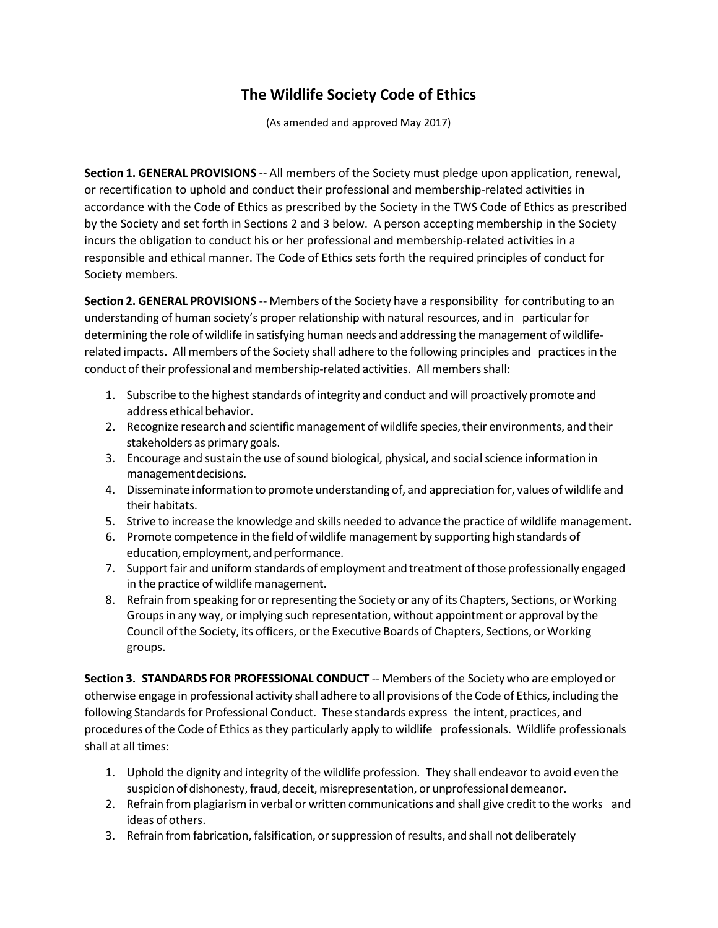## **The Wildlife Society Code of Ethics**

(As amended and approved May 2017)

**Section 1. GENERAL PROVISIONS** -- All members of the Society must pledge upon application, renewal, or recertification to uphold and conduct their professional and membership-related activities in accordance with the Code of Ethics as prescribed by the Society in the TWS Code of Ethics as prescribed by the Society and set forth in Sections 2 and 3 below. A person accepting membership in the Society incurs the obligation to conduct his or her professional and membership-related activities in a responsible and ethical manner. The Code of Ethics sets forth the required principles of conduct for Society members.

**Section 2. GENERAL PROVISIONS** -- Members ofthe Society have a responsibility for contributing to an understanding of human society's proper relationship with natural resources, and in particularfor determining the role of wildlife in satisfying human needs and addressing the management of wildliferelated impacts. All members of the Society shall adhere to the following principles and practices in the conduct of their professional and membership-related activities. All membersshall:

- 1. Subscribe to the highest standards of integrity and conduct and will proactively promote and address ethical behavior.
- 2. Recognize research and scientificmanagement of wildlife species,their environments, and their stakeholders as primary goals.
- 3. Encourage and sustain the use of sound biological, physical, and social science information in managementdecisions.
- 4. Disseminate information to promote understanding of, and appreciation for, values of wildlife and their habitats.
- 5. Strive to increase the knowledge and skills needed to advance the practice of wildlife management.
- 6. Promote competence in the field of wildlife management by supporting high standards of education, employment, and performance.
- 7. Support fair and uniform standards of employment and treatment of those professionally engaged in the practice of wildlife management.
- 8. Refrain from speaking for orrepresenting the Society or any of its Chapters, Sections, or Working Groupsin any way, orimplying such representation, without appointment or approval by the Council of the Society, its officers, or the Executive Boards of Chapters, Sections, or Working groups.

**Section 3. STANDARDS FOR PROFESSIONAL CONDUCT** -- Members of the Society who are employed or otherwise engage in professional activity shall adhere to all provisions of the Code of Ethics, including the following Standards for Professional Conduct. These standards express the intent, practices, and procedures ofthe Code of Ethics asthey particularly apply to wildlife professionals. Wildlife professionals shall at all times:

- 1. Uphold the dignity and integrity of the wildlife profession. They shall endeavor to avoid even the suspicion of dishonesty, fraud, deceit, misrepresentation, or unprofessional demeanor.
- 2. Refrain from plagiarism in verbal or written communications and shall give credit to the works and ideas of others.
- 3. Refrain from fabrication, falsification, orsuppression ofresults, and shall not deliberately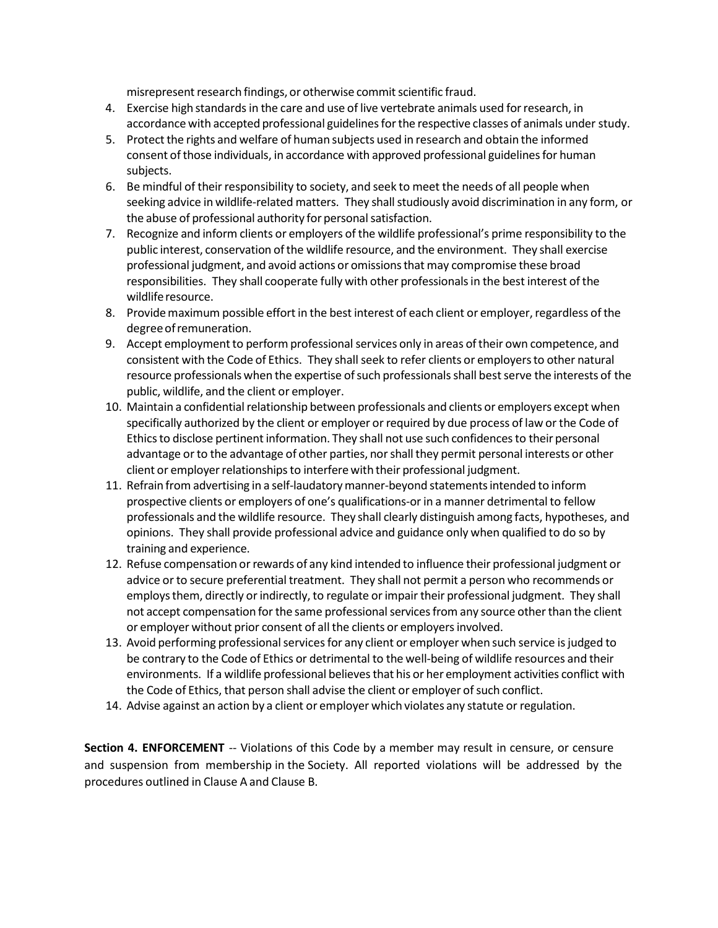misrepresent research findings, or otherwise commit scientific fraud.

- 4. Exercise high standards in the care and use of live vertebrate animals used for research, in accordance with accepted professional guidelines for the respective classes of animals under study.
- 5. Protect the rights and welfare of human subjects used in research and obtain the informed consent of those individuals, in accordance with approved professional guidelines for human subjects.
- 6. Be mindful of their responsibility to society, and seek to meet the needs of all people when seeking advice in wildlife-related matters. They shall studiously avoid discrimination in any form, or the abuse of professional authority for personal satisfaction.
- 7. Recognize and inform clients or employers of the wildlife professional's prime responsibility to the public interest, conservation of the wildlife resource, and the environment. They shall exercise professional judgment, and avoid actions or omissionsthat may compromise these broad responsibilities. They shall cooperate fully with other professionals in the best interest of the wildlife resource.
- 8. Provide maximum possible effort in the best interest of each client or employer, regardless of the degree of remuneration.
- 9. Accept employment to perform professional services only in areas of their own competence, and consistent with the Code of Ethics. They shall seek to refer clients or employers to other natural resource professionals when the expertise of such professionals shall best serve the interests of the public, wildlife, and the client or employer.
- 10. Maintain a confidential relationship between professionals and clients or employers except when specifically authorized by the client or employer or required by due process of law or the Code of Ethics to disclose pertinent information. They shall not use such confidences to their personal advantage or to the advantage of other parties, nor shall they permit personal interests or other client or employer relationships to interfere with their professional judgment.
- 11. Refrain from advertising in a self-laudatorymanner-beyond statementsintended to inform prospective clients or employers of one's qualifications-or in a manner detrimental to fellow professionals and the wildlife resource. They shall clearly distinguish among facts, hypotheses, and opinions. They shall provide professional advice and guidance only when qualified to do so by training and experience.
- 12. Refuse compensation orrewards of any kind intended to influence their professional judgment or advice or to secure preferential treatment. They shall not permit a person who recommends or employs them, directly or indirectly, to regulate or impair their professional judgment. They shall not accept compensation for the same professional services from any source other than the client or employer without prior consent of all the clients or employersinvolved.
- 13. Avoid performing professional services for any client or employer when such service is judged to be contrary to the Code of Ethics or detrimental to the well-being of wildlife resources and their environments. If a wildlife professional believes that his or her employment activities conflict with the Code of Ethics, that person shall advise the client or employer of such conflict.
- 14. Advise against an action by a client or employer which violates any statute or regulation.

**Section 4. ENFORCEMENT** -- Violations of this Code by a member may result in censure, or censure and suspension from membership in the Society. All reported violations will be addressed by the procedures outlined in Clause A and Clause B.